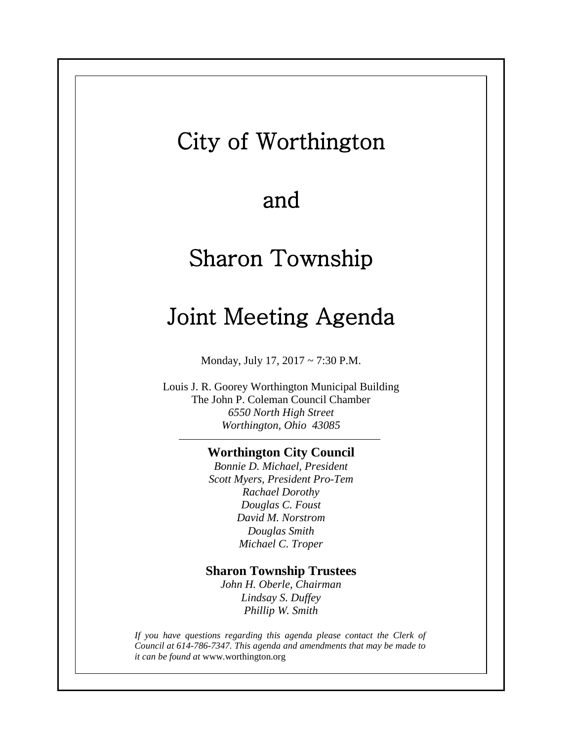## City of Worthington

## and

# Sharon Township

## Joint Meeting Agenda

Monday, July 17, 2017 ~ 7:30 P.M.

Louis J. R. Goorey Worthington Municipal Building The John P. Coleman Council Chamber *6550 North High Street Worthington, Ohio 43085*

#### **Worthington City Council**

*Bonnie D. Michael, President Scott Myers, President Pro-Tem Rachael Dorothy Douglas C. Foust David M. Norstrom Douglas Smith Michael C. Troper*

#### **Sharon Township Trustees**

*John H. Oberle, Chairman Lindsay S. Duffey Phillip W. Smith*

*If you have questions regarding this agenda please contact the Clerk of Council at 614-786-7347. This agenda and amendments that may be made to it can be found at* www.worthington.org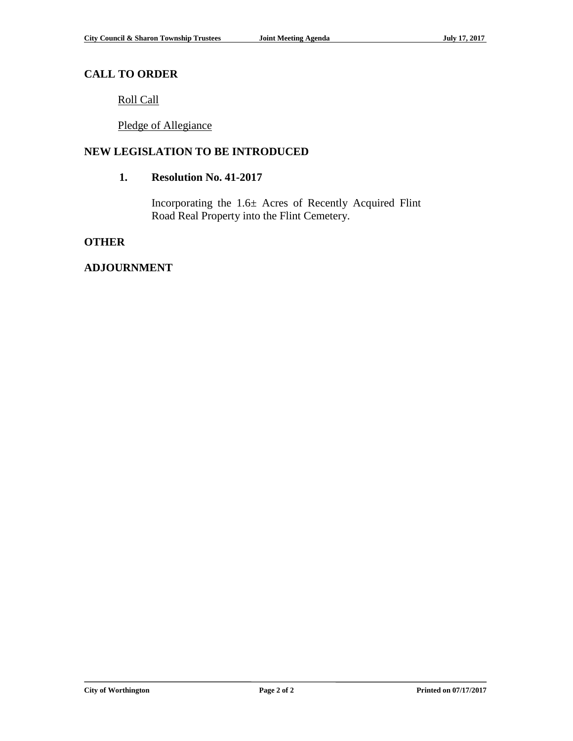### **CALL TO ORDER**

Roll Call

Pledge of Allegiance

### **NEW LEGISLATION TO BE INTRODUCED**

#### **1. Resolution No. 41-2017**

Incorporating the 1.6± Acres of Recently Acquired Flint Road Real Property into the Flint Cemetery.

#### **OTHER**

### **ADJOURNMENT**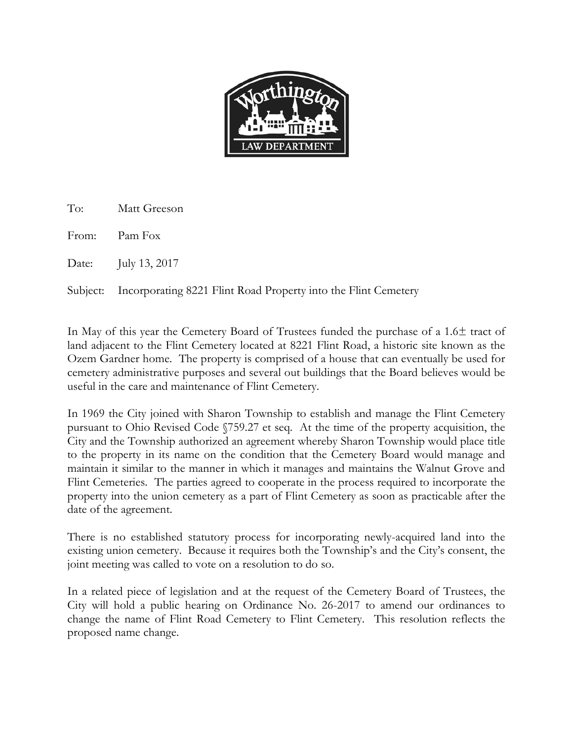

To: Matt Greeson

From: Pam Fox

Date: July 13, 2017

Subject: Incorporating 8221 Flint Road Property into the Flint Cemetery

In May of this year the Cemetery Board of Trustees funded the purchase of a 1.6± tract of land adjacent to the Flint Cemetery located at 8221 Flint Road, a historic site known as the Ozem Gardner home. The property is comprised of a house that can eventually be used for cemetery administrative purposes and several out buildings that the Board believes would be useful in the care and maintenance of Flint Cemetery.

In 1969 the City joined with Sharon Township to establish and manage the Flint Cemetery pursuant to Ohio Revised Code §759.27 et seq. At the time of the property acquisition, the City and the Township authorized an agreement whereby Sharon Township would place title to the property in its name on the condition that the Cemetery Board would manage and maintain it similar to the manner in which it manages and maintains the Walnut Grove and Flint Cemeteries. The parties agreed to cooperate in the process required to incorporate the property into the union cemetery as a part of Flint Cemetery as soon as practicable after the date of the agreement.

There is no established statutory process for incorporating newly-acquired land into the existing union cemetery. Because it requires both the Township's and the City's consent, the joint meeting was called to vote on a resolution to do so.

In a related piece of legislation and at the request of the Cemetery Board of Trustees, the City will hold a public hearing on Ordinance No. 26-2017 to amend our ordinances to change the name of Flint Road Cemetery to Flint Cemetery. This resolution reflects the proposed name change.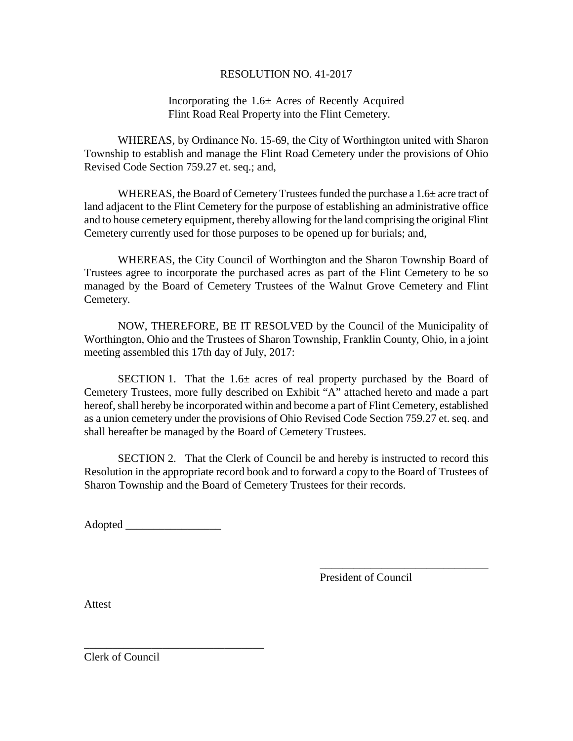#### RESOLUTION NO. 41-2017

#### Incorporating the 1.6± Acres of Recently Acquired Flint Road Real Property into the Flint Cemetery.

WHEREAS, by Ordinance No. 15-69, the City of Worthington united with Sharon Township to establish and manage the Flint Road Cemetery under the provisions of Ohio Revised Code Section 759.27 et. seq.; and,

WHEREAS, the Board of Cemetery Trustees funded the purchase a  $1.6\pm$  acre tract of land adjacent to the Flint Cemetery for the purpose of establishing an administrative office and to house cemetery equipment, thereby allowing for the land comprising the original Flint Cemetery currently used for those purposes to be opened up for burials; and,

WHEREAS, the City Council of Worthington and the Sharon Township Board of Trustees agree to incorporate the purchased acres as part of the Flint Cemetery to be so managed by the Board of Cemetery Trustees of the Walnut Grove Cemetery and Flint Cemetery.

NOW, THEREFORE, BE IT RESOLVED by the Council of the Municipality of Worthington, Ohio and the Trustees of Sharon Township, Franklin County, Ohio, in a joint meeting assembled this 17th day of July, 2017:

SECTION 1. That the  $1.6\pm$  acres of real property purchased by the Board of Cemetery Trustees, more fully described on Exhibit "A" attached hereto and made a part hereof, shall hereby be incorporated within and become a part of Flint Cemetery, established as a union cemetery under the provisions of Ohio Revised Code Section 759.27 et. seq. and shall hereafter be managed by the Board of Cemetery Trustees.

SECTION 2. That the Clerk of Council be and hereby is instructed to record this Resolution in the appropriate record book and to forward a copy to the Board of Trustees of Sharon Township and the Board of Cemetery Trustees for their records.

Adopted \_\_\_\_\_\_\_\_\_\_\_\_\_\_\_\_\_

\_\_\_\_\_\_\_\_\_\_\_\_\_\_\_\_\_\_\_\_\_\_\_\_\_\_\_\_\_\_\_\_

\_\_\_\_\_\_\_\_\_\_\_\_\_\_\_\_\_\_\_\_\_\_\_\_\_\_\_\_\_\_ President of Council

Attest

Clerk of Council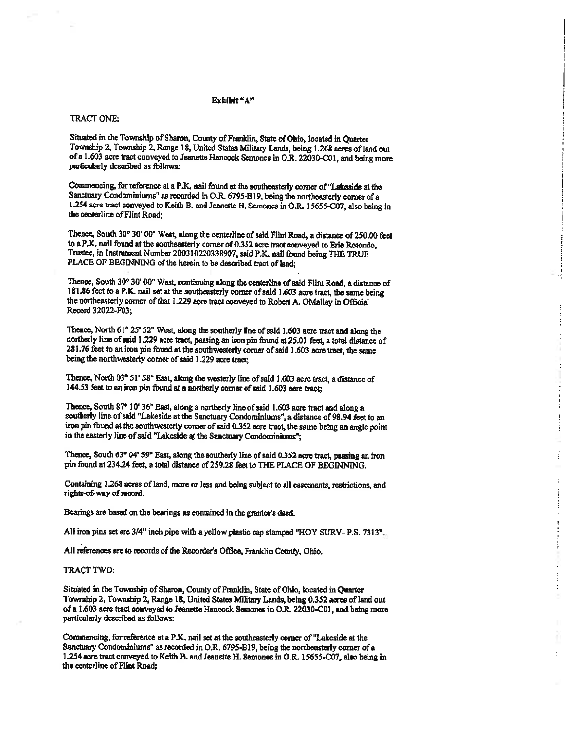#### Exhibit "A"

#### TRACT ONE:

Situated in the Township of Sharon, County of Franklin, State of Ohio, located in Ouarter Township 2, Township 2, Range 18, United States Military Lands, being 1.268 acres of land out of a 1.603 acre tract conveyed to Jeanette Hancock Semones in O.R. 22030-C01, and being more particularly described as follows:

Commencing, for reference at a P.K. nail found at the southeasterly corner of "Lakeside at the Sanctuary Condominiums" as recorded in O.R. 6795-B19, being the northeasterly corner of a 1.254 acre tract conveyed to Keith B. and Jeanette H. Semones in O.R. 15655-C07, also being in the centerline of Flint Road:

Thence, South 30° 30' 00" West, along the centerline of said Flint Road, a distance of 250.00 feet to a P.K. nail found at the southeasterly corner of 0.352 acre tract conveyed to Eric Rotondo, Trustee, in Instrument Number 200310220338907, said P.K. nail found being THE TRUE PLACE OF BEGINNING of the herein to be described tract of land;

Thence, South 30° 30' 00" West, continuing along the centerline of said Fiint Road, a distance of 181.86 feet to a P.K. nail set at the southeasterly corner of said 1.603 acre tract, the same being the northeasterly corner of that 1.229 acre tract conveyed to Robert A. OMalley in Official Record 32022-F03;

Thence, North 61° 25' 52" West, along the southerly line of said 1.603 acre tract and along the northerly line of said 1.229 acre tract, passing an iron pin found at 25.01 feet, a total distance of 281.76 feet to an iron pin found at the southwesterly corner of said 1.603 acre tract, the same being the northwesterly corner of said 1.229 acre tract;

Thence, North 03° 51' 58" East, along the westerly line of said 1.603 acre tract, a distance of 144.53 feet to an iron pin found at a northerly comer of said 1.603 acre tract;

Thence, South 87° 10' 36" East, along a northerly line of said 1.603 acre tract and along a southerly line of said "Lakeside at the Sanctuary Condominiums", a distance of 98.94 feet to an iron pin found at the southwesterly corner of said 0.352 acre tract, the same being an angle point in the easterly line of said "Lakeside at the Sanctuary Condominiums":

Thence, South 63° 04' 59" East, along the southerly line of said 0.352 acre tract, passing an iron pin found at 234.24 feet, a total distance of 259.28 feet to THE PLACE OF BEGINNING.

Ì

Containing 1.268 acres of land, more or less and being subject to all easements, restrictions, and rights-of-way of record.

Bearings are based on the bearings as contained in the grantor's deed.

All iron pins set are 3/4" inch pipe with a yellow plastic cap stamped "HOY SURV- P.S. 7313".

All references are to records of the Recorder's Office, Franklin County, Ohio.

#### TRACT TWO:

Situated in the Township of Sharon, County of Franklin, State of Ohio, located in Quarter Township 2, Township 2, Range 18, United States Military Lands, being 0.352 acres of land out of a 1.603 acre tract conveyed to Jeanette Hancock Semones in O.R. 22030-C01, and being more particularly described as follows:

Commencing, for reference at a P.K. nail set at the southeasterly corner of "Lakeside at the Sanctuary Condominiums" as recorded in O.R. 6795-B19, being the northeasterly corner of a 1.254 acre tract conveyed to Keith B. and Jeanette H. Semones in O.R. 15655-C07, also being in the centerline of Flint Road;